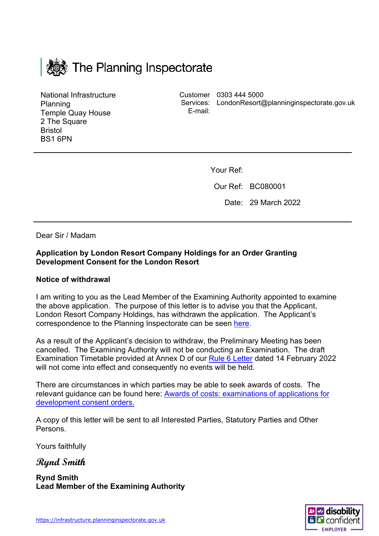

National Infrastructure Planning Temple Quay House 2 The Square Bristol BS1 6PN

Customer 0303 444 5000 Services: LondonResort@planninginspectorate.gov.ukE-mail:

Your Ref:

Our Ref: BC080001

Date: 29 March 2022

Dear Sir / Madam

## **Application by London Resort Company Holdings for an Order Granting Development Consent for the London Resort**

## **Notice of withdrawal**

I am writing to you as the Lead Member of the Examining Authority appointed to examine the above application. The purpose of this letter is to advise you that the Applicant, London Resort Company Holdings, has withdrawn the application. The Applicant's correspondence to the Planning Inspectorate can be seen [here.](https://infrastructure.planninginspectorate.gov.uk/wp-content/ipc/uploads/projects/BC080001/BC080001-001359-PINS%20withdrawal%20letter%20280322.pdf)

As a result of the Applicant's decision to withdraw, the Preliminary Meeting has been cancelled. The Examining Authority will not be conducting an Examination. The draft Examination Timetable provided at Annex D of our [Rule 6 Letter](https://infrastructure.planninginspectorate.gov.uk/wp-content/ipc/uploads/projects/BC080001/BC080001-001134-Rule%206%20Letter.pdf) dated 14 February 2022 will not come into effect and consequently no events will be held.

There are circumstances in which parties may be able to seek awards of costs. The relevant guidance can be found here: [Awards of costs: examinations of applications for](https://www.gov.uk/government/publications/awards-of-costs-examinations-of-applications-for-development-consent-orders)  [development consent orders.](https://www.gov.uk/government/publications/awards-of-costs-examinations-of-applications-for-development-consent-orders)

A copy of this letter will be sent to all Interested Parties, Statutory Parties and Other Persons.

Yours faithfully

**Rynd Smith**

**Rynd Smith Lead Member of the Examining Authority**